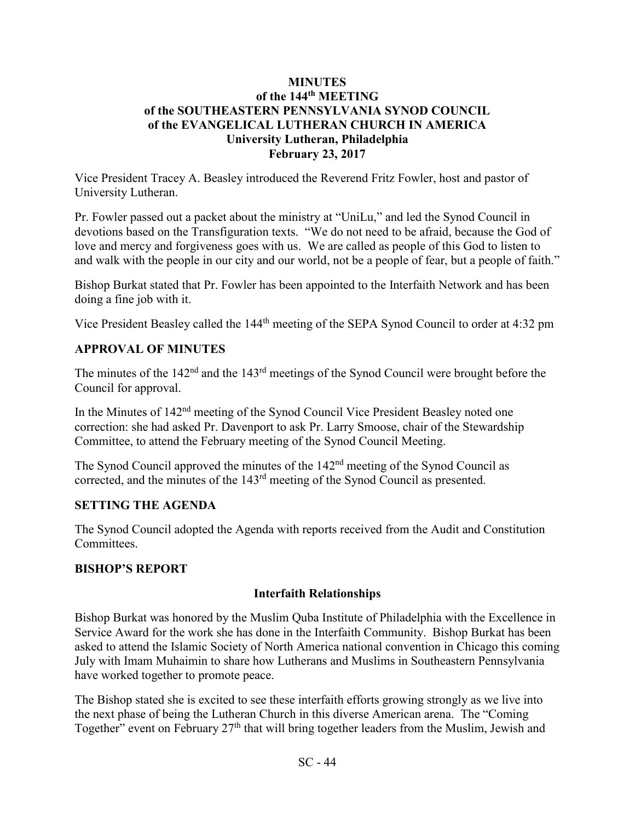### **MINUTES of the 144th MEETING of the SOUTHEASTERN PENNSYLVANIA SYNOD COUNCIL of the EVANGELICAL LUTHERAN CHURCH IN AMERICA University Lutheran, Philadelphia February 23, 2017**

Vice President Tracey A. Beasley introduced the Reverend Fritz Fowler, host and pastor of University Lutheran.

Pr. Fowler passed out a packet about the ministry at "UniLu," and led the Synod Council in devotions based on the Transfiguration texts. "We do not need to be afraid, because the God of love and mercy and forgiveness goes with us. We are called as people of this God to listen to and walk with the people in our city and our world, not be a people of fear, but a people of faith."

Bishop Burkat stated that Pr. Fowler has been appointed to the Interfaith Network and has been doing a fine job with it.

Vice President Beasley called the 144th meeting of the SEPA Synod Council to order at 4:32 pm

## **APPROVAL OF MINUTES**

The minutes of the 142<sup>nd</sup> and the 143<sup>rd</sup> meetings of the Synod Council were brought before the Council for approval.

In the Minutes of 142nd meeting of the Synod Council Vice President Beasley noted one correction: she had asked Pr. Davenport to ask Pr. Larry Smoose, chair of the Stewardship Committee, to attend the February meeting of the Synod Council Meeting.

The Synod Council approved the minutes of the 142nd meeting of the Synod Council as corrected, and the minutes of the 143rd meeting of the Synod Council as presented.

## **SETTING THE AGENDA**

The Synod Council adopted the Agenda with reports received from the Audit and Constitution Committees.

## **BISHOP'S REPORT**

## **Interfaith Relationships**

Bishop Burkat was honored by the Muslim Quba Institute of Philadelphia with the Excellence in Service Award for the work she has done in the Interfaith Community. Bishop Burkat has been asked to attend the Islamic Society of North America national convention in Chicago this coming July with Imam Muhaimin to share how Lutherans and Muslims in Southeastern Pennsylvania have worked together to promote peace.

The Bishop stated she is excited to see these interfaith efforts growing strongly as we live into the next phase of being the Lutheran Church in this diverse American arena. The "Coming Together" event on February 27<sup>th</sup> that will bring together leaders from the Muslim, Jewish and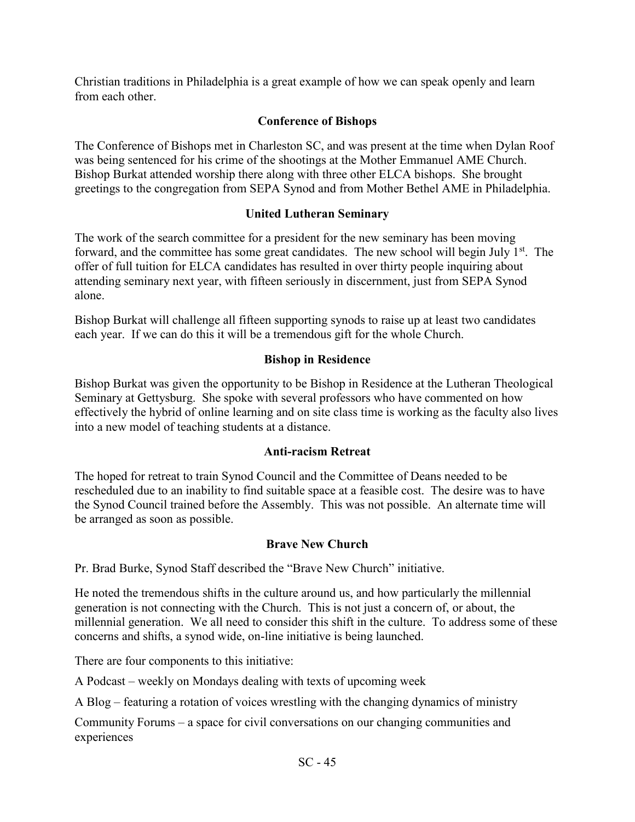Christian traditions in Philadelphia is a great example of how we can speak openly and learn from each other.

# **Conference of Bishops**

The Conference of Bishops met in Charleston SC, and was present at the time when Dylan Roof was being sentenced for his crime of the shootings at the Mother Emmanuel AME Church. Bishop Burkat attended worship there along with three other ELCA bishops. She brought greetings to the congregation from SEPA Synod and from Mother Bethel AME in Philadelphia.

# **United Lutheran Seminary**

The work of the search committee for a president for the new seminary has been moving forward, and the committee has some great candidates. The new school will begin July  $1<sup>st</sup>$ . The offer of full tuition for ELCA candidates has resulted in over thirty people inquiring about attending seminary next year, with fifteen seriously in discernment, just from SEPA Synod alone.

Bishop Burkat will challenge all fifteen supporting synods to raise up at least two candidates each year. If we can do this it will be a tremendous gift for the whole Church.

# **Bishop in Residence**

Bishop Burkat was given the opportunity to be Bishop in Residence at the Lutheran Theological Seminary at Gettysburg. She spoke with several professors who have commented on how effectively the hybrid of online learning and on site class time is working as the faculty also lives into a new model of teaching students at a distance.

# **Anti-racism Retreat**

The hoped for retreat to train Synod Council and the Committee of Deans needed to be rescheduled due to an inability to find suitable space at a feasible cost. The desire was to have the Synod Council trained before the Assembly. This was not possible. An alternate time will be arranged as soon as possible.

# **Brave New Church**

Pr. Brad Burke, Synod Staff described the "Brave New Church" initiative.

He noted the tremendous shifts in the culture around us, and how particularly the millennial generation is not connecting with the Church. This is not just a concern of, or about, the millennial generation. We all need to consider this shift in the culture. To address some of these concerns and shifts, a synod wide, on-line initiative is being launched.

There are four components to this initiative:

A Podcast – weekly on Mondays dealing with texts of upcoming week

A Blog – featuring a rotation of voices wrestling with the changing dynamics of ministry

Community Forums – a space for civil conversations on our changing communities and experiences

SC - 45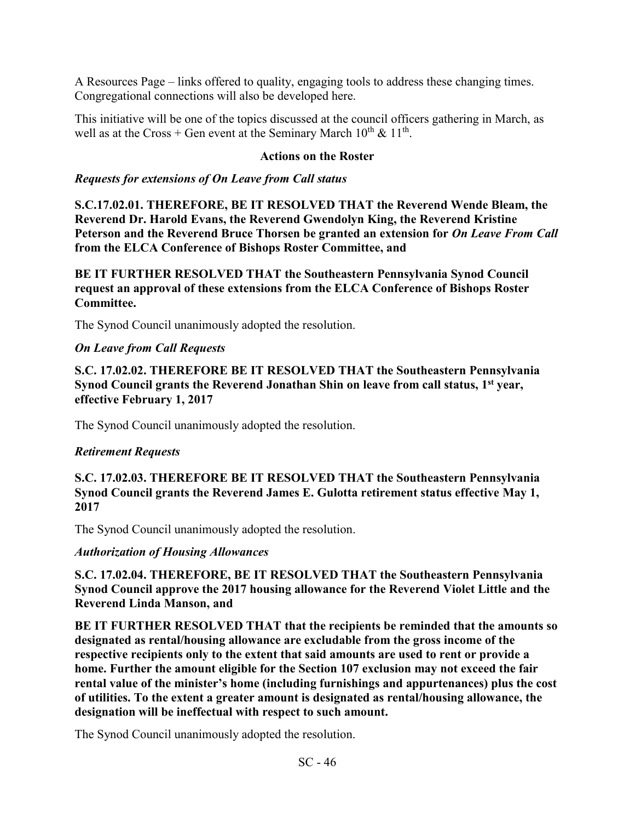A Resources Page – links offered to quality, engaging tools to address these changing times. Congregational connections will also be developed here.

This initiative will be one of the topics discussed at the council officers gathering in March, as well as at the Cross + Gen event at the Seminary March  $10^{th} \& 11^{th}$ .

#### **Actions on the Roster**

#### *Requests for extensions of On Leave from Call status*

**S.C.17.02.01. THEREFORE, BE IT RESOLVED THAT the Reverend Wende Bleam, the Reverend Dr. Harold Evans, the Reverend Gwendolyn King, the Reverend Kristine Peterson and the Reverend Bruce Thorsen be granted an extension for** *On Leave From Call*  **from the ELCA Conference of Bishops Roster Committee, and** 

**BE IT FURTHER RESOLVED THAT the Southeastern Pennsylvania Synod Council request an approval of these extensions from the ELCA Conference of Bishops Roster Committee.** 

The Synod Council unanimously adopted the resolution.

### *On Leave from Call Requests*

**S.C. 17.02.02. THEREFORE BE IT RESOLVED THAT the Southeastern Pennsylvania Synod Council grants the Reverend Jonathan Shin on leave from call status, 1st year, effective February 1, 2017** 

The Synod Council unanimously adopted the resolution.

#### *Retirement Requests*

**S.C. 17.02.03. THEREFORE BE IT RESOLVED THAT the Southeastern Pennsylvania Synod Council grants the Reverend James E. Gulotta retirement status effective May 1, 2017**

The Synod Council unanimously adopted the resolution.

## *Authorization of Housing Allowances*

**S.C. 17.02.04. THEREFORE, BE IT RESOLVED THAT the Southeastern Pennsylvania Synod Council approve the 2017 housing allowance for the Reverend Violet Little and the Reverend Linda Manson, and** 

**BE IT FURTHER RESOLVED THAT that the recipients be reminded that the amounts so designated as rental/housing allowance are excludable from the gross income of the respective recipients only to the extent that said amounts are used to rent or provide a home. Further the amount eligible for the Section 107 exclusion may not exceed the fair rental value of the minister's home (including furnishings and appurtenances) plus the cost of utilities. To the extent a greater amount is designated as rental/housing allowance, the designation will be ineffectual with respect to such amount.** 

The Synod Council unanimously adopted the resolution.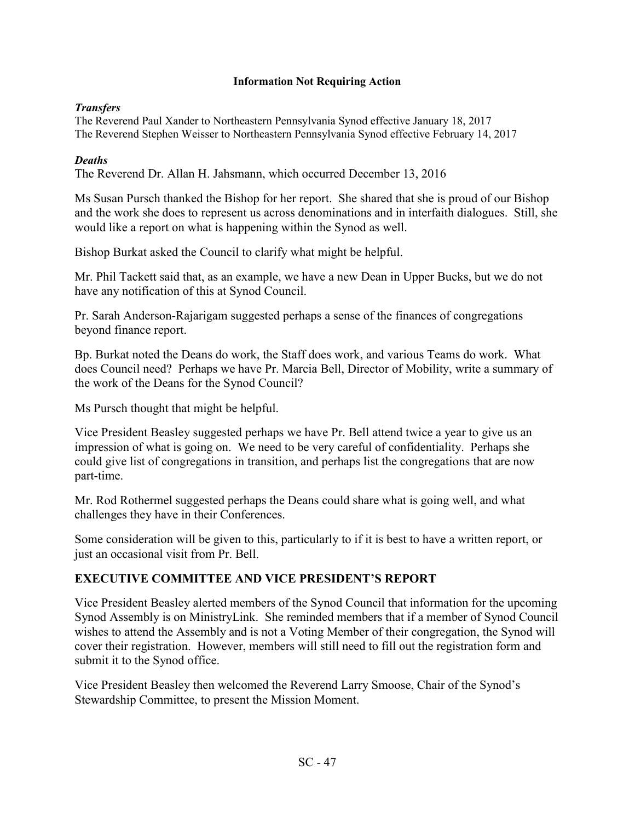#### **Information Not Requiring Action**

### *Transfers*

The Reverend Paul Xander to Northeastern Pennsylvania Synod effective January 18, 2017 The Reverend Stephen Weisser to Northeastern Pennsylvania Synod effective February 14, 2017

### *Deaths*

The Reverend Dr. Allan H. Jahsmann, which occurred December 13, 2016

Ms Susan Pursch thanked the Bishop for her report. She shared that she is proud of our Bishop and the work she does to represent us across denominations and in interfaith dialogues. Still, she would like a report on what is happening within the Synod as well.

Bishop Burkat asked the Council to clarify what might be helpful.

Mr. Phil Tackett said that, as an example, we have a new Dean in Upper Bucks, but we do not have any notification of this at Synod Council.

Pr. Sarah Anderson-Rajarigam suggested perhaps a sense of the finances of congregations beyond finance report.

Bp. Burkat noted the Deans do work, the Staff does work, and various Teams do work. What does Council need? Perhaps we have Pr. Marcia Bell, Director of Mobility, write a summary of the work of the Deans for the Synod Council?

Ms Pursch thought that might be helpful.

Vice President Beasley suggested perhaps we have Pr. Bell attend twice a year to give us an impression of what is going on. We need to be very careful of confidentiality. Perhaps she could give list of congregations in transition, and perhaps list the congregations that are now part-time.

Mr. Rod Rothermel suggested perhaps the Deans could share what is going well, and what challenges they have in their Conferences.

Some consideration will be given to this, particularly to if it is best to have a written report, or just an occasional visit from Pr. Bell.

## **EXECUTIVE COMMITTEE AND VICE PRESIDENT'S REPORT**

Vice President Beasley alerted members of the Synod Council that information for the upcoming Synod Assembly is on MinistryLink. She reminded members that if a member of Synod Council wishes to attend the Assembly and is not a Voting Member of their congregation, the Synod will cover their registration. However, members will still need to fill out the registration form and submit it to the Synod office.

Vice President Beasley then welcomed the Reverend Larry Smoose, Chair of the Synod's Stewardship Committee, to present the Mission Moment.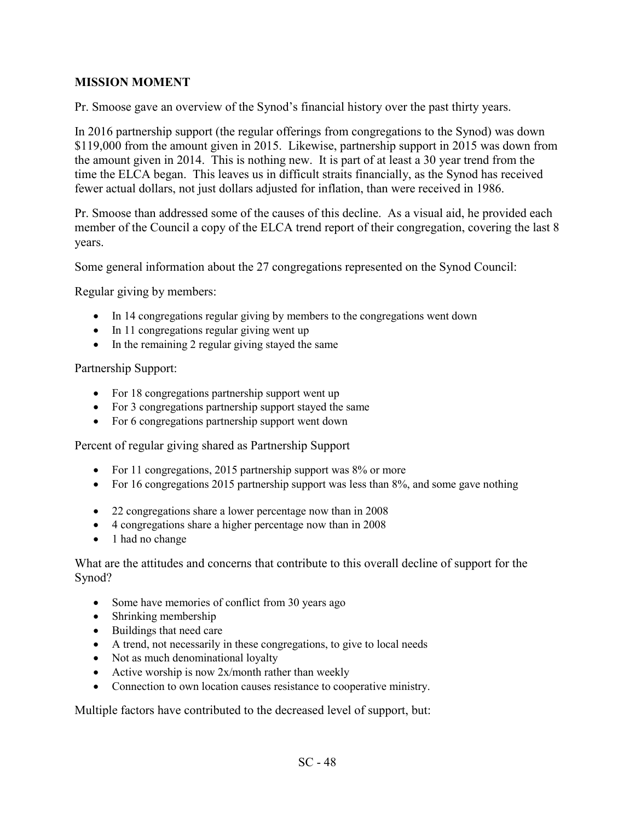## **MISSION MOMENT**

Pr. Smoose gave an overview of the Synod's financial history over the past thirty years.

In 2016 partnership support (the regular offerings from congregations to the Synod) was down \$119,000 from the amount given in 2015. Likewise, partnership support in 2015 was down from the amount given in 2014. This is nothing new. It is part of at least a 30 year trend from the time the ELCA began. This leaves us in difficult straits financially, as the Synod has received fewer actual dollars, not just dollars adjusted for inflation, than were received in 1986.

Pr. Smoose than addressed some of the causes of this decline. As a visual aid, he provided each member of the Council a copy of the ELCA trend report of their congregation, covering the last 8 years.

Some general information about the 27 congregations represented on the Synod Council:

Regular giving by members:

- In 14 congregations regular giving by members to the congregations went down
- In 11 congregations regular giving went up
- In the remaining 2 regular giving stayed the same

Partnership Support:

- For 18 congregations partnership support went up
- For 3 congregations partnership support stayed the same
- For 6 congregations partnership support went down

Percent of regular giving shared as Partnership Support

- For 11 congregations, 2015 partnership support was 8% or more
- For 16 congregations 2015 partnership support was less than  $8\%$ , and some gave nothing
- · 22 congregations share a lower percentage now than in 2008
- · 4 congregations share a higher percentage now than in 2008
- 1 had no change

What are the attitudes and concerns that contribute to this overall decline of support for the Synod?

- Some have memories of conflict from 30 years ago
- · Shrinking membership
- · Buildings that need care
- · A trend, not necessarily in these congregations, to give to local needs
- Not as much denominational loyalty
- Active worship is now  $2x/m$  onth rather than weekly
- Connection to own location causes resistance to cooperative ministry.

Multiple factors have contributed to the decreased level of support, but: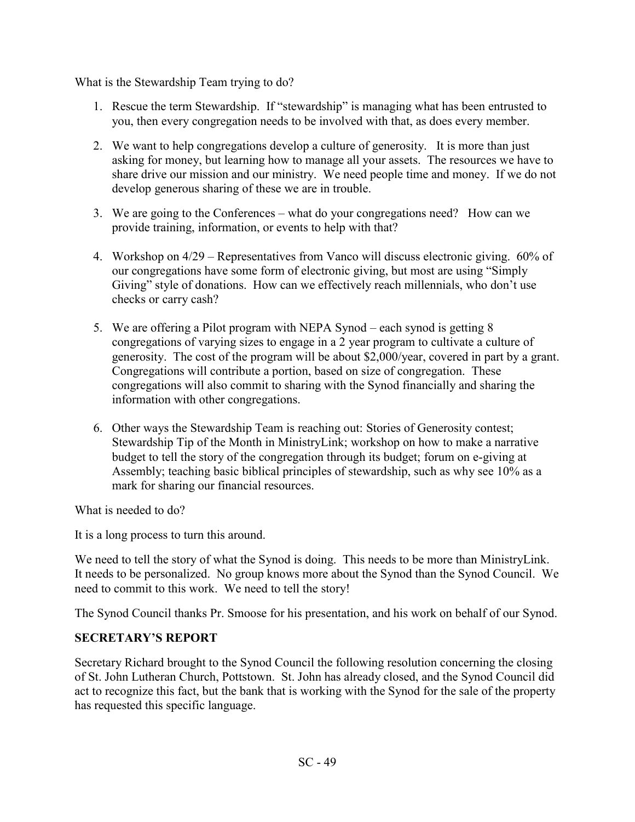What is the Stewardship Team trying to do?

- 1. Rescue the term Stewardship. If "stewardship" is managing what has been entrusted to you, then every congregation needs to be involved with that, as does every member.
- 2. We want to help congregations develop a culture of generosity. It is more than just asking for money, but learning how to manage all your assets. The resources we have to share drive our mission and our ministry. We need people time and money. If we do not develop generous sharing of these we are in trouble.
- 3. We are going to the Conferences what do your congregations need? How can we provide training, information, or events to help with that?
- 4. Workshop on 4/29 Representatives from Vanco will discuss electronic giving. 60% of our congregations have some form of electronic giving, but most are using "Simply Giving" style of donations. How can we effectively reach millennials, who don't use checks or carry cash?
- 5. We are offering a Pilot program with NEPA Synod each synod is getting 8 congregations of varying sizes to engage in a 2 year program to cultivate a culture of generosity. The cost of the program will be about \$2,000/year, covered in part by a grant. Congregations will contribute a portion, based on size of congregation. These congregations will also commit to sharing with the Synod financially and sharing the information with other congregations.
- 6. Other ways the Stewardship Team is reaching out: Stories of Generosity contest; Stewardship Tip of the Month in MinistryLink; workshop on how to make a narrative budget to tell the story of the congregation through its budget; forum on e-giving at Assembly; teaching basic biblical principles of stewardship, such as why see 10% as a mark for sharing our financial resources.

What is needed to do?

It is a long process to turn this around.

We need to tell the story of what the Synod is doing. This needs to be more than MinistryLink. It needs to be personalized. No group knows more about the Synod than the Synod Council. We need to commit to this work. We need to tell the story!

The Synod Council thanks Pr. Smoose for his presentation, and his work on behalf of our Synod.

# **SECRETARY'S REPORT**

Secretary Richard brought to the Synod Council the following resolution concerning the closing of St. John Lutheran Church, Pottstown. St. John has already closed, and the Synod Council did act to recognize this fact, but the bank that is working with the Synod for the sale of the property has requested this specific language.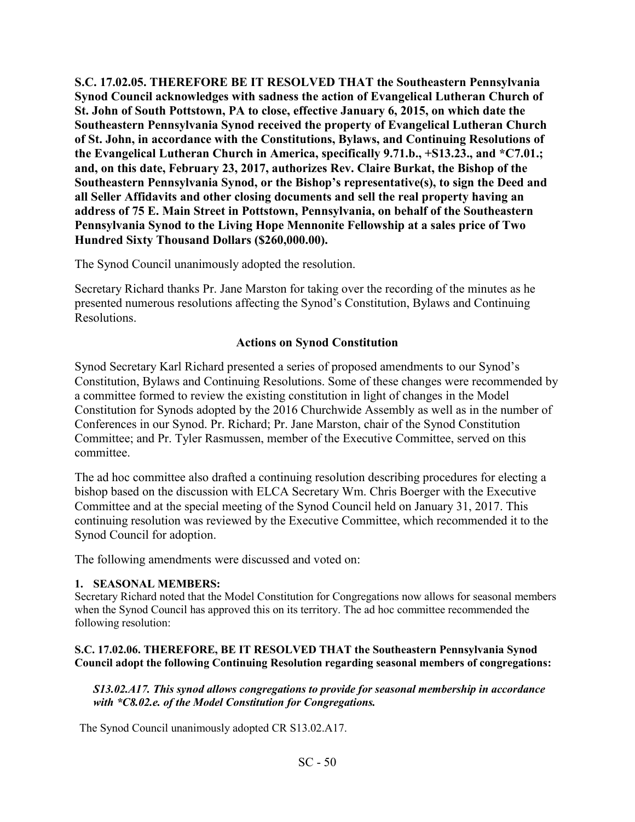**S.C. 17.02.05. THEREFORE BE IT RESOLVED THAT the Southeastern Pennsylvania Synod Council acknowledges with sadness the action of Evangelical Lutheran Church of St. John of South Pottstown, PA to close, effective January 6, 2015, on which date the Southeastern Pennsylvania Synod received the property of Evangelical Lutheran Church of St. John, in accordance with the Constitutions, Bylaws, and Continuing Resolutions of the Evangelical Lutheran Church in America, specifically 9.71.b., +S13.23., and \*C7.01.; and, on this date, February 23, 2017, authorizes Rev. Claire Burkat, the Bishop of the Southeastern Pennsylvania Synod, or the Bishop's representative(s), to sign the Deed and all Seller Affidavits and other closing documents and sell the real property having an address of 75 E. Main Street in Pottstown, Pennsylvania, on behalf of the Southeastern Pennsylvania Synod to the Living Hope Mennonite Fellowship at a sales price of Two Hundred Sixty Thousand Dollars (\$260,000.00).** 

The Synod Council unanimously adopted the resolution.

Secretary Richard thanks Pr. Jane Marston for taking over the recording of the minutes as he presented numerous resolutions affecting the Synod's Constitution, Bylaws and Continuing Resolutions.

## **Actions on Synod Constitution**

Synod Secretary Karl Richard presented a series of proposed amendments to our Synod's Constitution, Bylaws and Continuing Resolutions. Some of these changes were recommended by a committee formed to review the existing constitution in light of changes in the Model Constitution for Synods adopted by the 2016 Churchwide Assembly as well as in the number of Conferences in our Synod. Pr. Richard; Pr. Jane Marston, chair of the Synod Constitution Committee; and Pr. Tyler Rasmussen, member of the Executive Committee, served on this committee.

The ad hoc committee also drafted a continuing resolution describing procedures for electing a bishop based on the discussion with ELCA Secretary Wm. Chris Boerger with the Executive Committee and at the special meeting of the Synod Council held on January 31, 2017. This continuing resolution was reviewed by the Executive Committee, which recommended it to the Synod Council for adoption.

The following amendments were discussed and voted on:

#### **1. SEASONAL MEMBERS:**

Secretary Richard noted that the Model Constitution for Congregations now allows for seasonal members when the Synod Council has approved this on its territory. The ad hoc committee recommended the following resolution:

#### **S.C. 17.02.06. THEREFORE, BE IT RESOLVED THAT the Southeastern Pennsylvania Synod Council adopt the following Continuing Resolution regarding seasonal members of congregations:**

#### *S13.02.A17. This synod allows congregations to provide for seasonal membership in accordance with \*C8.02.e. of the Model Constitution for Congregations.*

The Synod Council unanimously adopted CR S13.02.A17.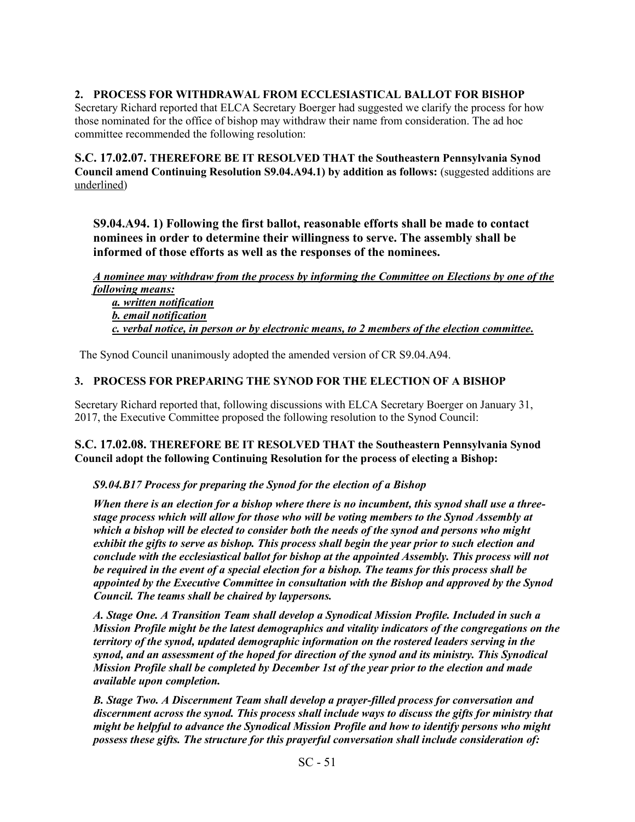### **2. PROCESS FOR WITHDRAWAL FROM ECCLESIASTICAL BALLOT FOR BISHOP**

Secretary Richard reported that ELCA Secretary Boerger had suggested we clarify the process for how those nominated for the office of bishop may withdraw their name from consideration. The ad hoc committee recommended the following resolution:

**S.C. 17.02.07. THEREFORE BE IT RESOLVED THAT the Southeastern Pennsylvania Synod Council amend Continuing Resolution S9.04.A94.1) by addition as follows:** (suggested additions are underlined)

**S9.04.A94. 1) Following the first ballot, reasonable efforts shall be made to contact nominees in order to determine their willingness to serve. The assembly shall be informed of those efforts as well as the responses of the nominees.** 

*A nominee may withdraw from the process by informing the Committee on Elections by one of the following means:* 

 *a. written notification b. email notification c. verbal notice, in person or by electronic means, to 2 members of the election committee.* 

The Synod Council unanimously adopted the amended version of CR S9.04.A94.

#### **3. PROCESS FOR PREPARING THE SYNOD FOR THE ELECTION OF A BISHOP**

Secretary Richard reported that, following discussions with ELCA Secretary Boerger on January 31, 2017, the Executive Committee proposed the following resolution to the Synod Council:

#### **S.C. 17.02.08. THEREFORE BE IT RESOLVED THAT the Southeastern Pennsylvania Synod Council adopt the following Continuing Resolution for the process of electing a Bishop:**

#### *S9.04.B17 Process for preparing the Synod for the election of a Bishop*

*When there is an election for a bishop where there is no incumbent, this synod shall use a threestage process which will allow for those who will be voting members to the Synod Assembly at which a bishop will be elected to consider both the needs of the synod and persons who might exhibit the gifts to serve as bishop. This process shall begin the year prior to such election and conclude with the ecclesiastical ballot for bishop at the appointed Assembly. This process will not be required in the event of a special election for a bishop. The teams for this process shall be appointed by the Executive Committee in consultation with the Bishop and approved by the Synod Council. The teams shall be chaired by laypersons.* 

*A. Stage One. A Transition Team shall develop a Synodical Mission Profile. Included in such a Mission Profile might be the latest demographics and vitality indicators of the congregations on the territory of the synod, updated demographic information on the rostered leaders serving in the synod, and an assessment of the hoped for direction of the synod and its ministry. This Synodical Mission Profile shall be completed by December 1st of the year prior to the election and made available upon completion.* 

*B. Stage Two. A Discernment Team shall develop a prayer-filled process for conversation and discernment across the synod. This process shall include ways to discuss the gifts for ministry that might be helpful to advance the Synodical Mission Profile and how to identify persons who might possess these gifts. The structure for this prayerful conversation shall include consideration of:* 

SC - 51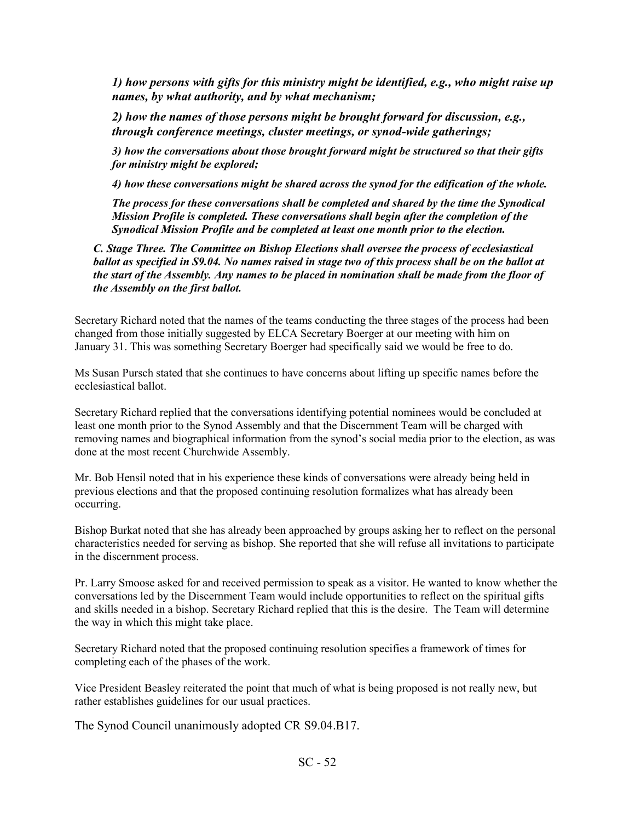*1) how persons with gifts for this ministry might be identified, e.g., who might raise up names, by what authority, and by what mechanism;* 

*2) how the names of those persons might be brought forward for discussion, e.g., through conference meetings, cluster meetings, or synod-wide gatherings;* 

*3) how the conversations about those brought forward might be structured so that their gifts for ministry might be explored;* 

*4) how these conversations might be shared across the synod for the edification of the whole.* 

*The process for these conversations shall be completed and shared by the time the Synodical Mission Profile is completed. These conversations shall begin after the completion of the Synodical Mission Profile and be completed at least one month prior to the election.* 

*C. Stage Three. The Committee on Bishop Elections shall oversee the process of ecclesiastical ballot as specified in S9.04. No names raised in stage two of this process shall be on the ballot at the start of the Assembly. Any names to be placed in nomination shall be made from the floor of the Assembly on the first ballot.* 

Secretary Richard noted that the names of the teams conducting the three stages of the process had been changed from those initially suggested by ELCA Secretary Boerger at our meeting with him on January 31. This was something Secretary Boerger had specifically said we would be free to do.

Ms Susan Pursch stated that she continues to have concerns about lifting up specific names before the ecclesiastical ballot.

Secretary Richard replied that the conversations identifying potential nominees would be concluded at least one month prior to the Synod Assembly and that the Discernment Team will be charged with removing names and biographical information from the synod's social media prior to the election, as was done at the most recent Churchwide Assembly.

Mr. Bob Hensil noted that in his experience these kinds of conversations were already being held in previous elections and that the proposed continuing resolution formalizes what has already been occurring.

Bishop Burkat noted that she has already been approached by groups asking her to reflect on the personal characteristics needed for serving as bishop. She reported that she will refuse all invitations to participate in the discernment process.

Pr. Larry Smoose asked for and received permission to speak as a visitor. He wanted to know whether the conversations led by the Discernment Team would include opportunities to reflect on the spiritual gifts and skills needed in a bishop. Secretary Richard replied that this is the desire. The Team will determine the way in which this might take place.

Secretary Richard noted that the proposed continuing resolution specifies a framework of times for completing each of the phases of the work.

Vice President Beasley reiterated the point that much of what is being proposed is not really new, but rather establishes guidelines for our usual practices.

The Synod Council unanimously adopted CR S9.04.B17.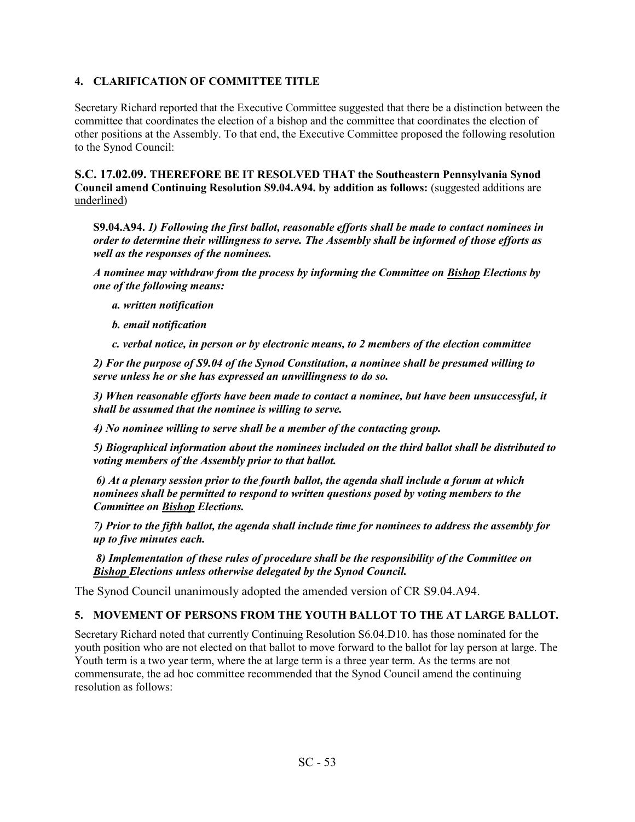#### **4. CLARIFICATION OF COMMITTEE TITLE**

Secretary Richard reported that the Executive Committee suggested that there be a distinction between the committee that coordinates the election of a bishop and the committee that coordinates the election of other positions at the Assembly. To that end, the Executive Committee proposed the following resolution to the Synod Council:

**S.C. 17.02.09. THEREFORE BE IT RESOLVED THAT the Southeastern Pennsylvania Synod Council amend Continuing Resolution S9.04.A94. by addition as follows:** (suggested additions are underlined)

**S9.04.A94.** *1) Following the first ballot, reasonable efforts shall be made to contact nominees in order to determine their willingness to serve. The Assembly shall be informed of those efforts as well as the responses of the nominees.* 

*A nominee may withdraw from the process by informing the Committee on Bishop Elections by one of the following means:* 

*a. written notification* 

*b. email notification* 

*c. verbal notice, in person or by electronic means, to 2 members of the election committee* 

*2) For the purpose of S9.04 of the Synod Constitution, a nominee shall be presumed willing to serve unless he or she has expressed an unwillingness to do so.* 

*3) When reasonable efforts have been made to contact a nominee, but have been unsuccessful, it shall be assumed that the nominee is willing to serve.* 

*4) No nominee willing to serve shall be a member of the contacting group.* 

*5) Biographical information about the nominees included on the third ballot shall be distributed to voting members of the Assembly prior to that ballot.* 

 *6) At a plenary session prior to the fourth ballot, the agenda shall include a forum at which nominees shall be permitted to respond to written questions posed by voting members to the Committee on Bishop Elections.* 

*7) Prior to the fifth ballot, the agenda shall include time for nominees to address the assembly for up to five minutes each.* 

 *8) Implementation of these rules of procedure shall be the responsibility of the Committee on Bishop Elections unless otherwise delegated by the Synod Council.* 

The Synod Council unanimously adopted the amended version of CR S9.04.A94.

### **5. MOVEMENT OF PERSONS FROM THE YOUTH BALLOT TO THE AT LARGE BALLOT.**

Secretary Richard noted that currently Continuing Resolution S6.04.D10. has those nominated for the youth position who are not elected on that ballot to move forward to the ballot for lay person at large. The Youth term is a two year term, where the at large term is a three year term. As the terms are not commensurate, the ad hoc committee recommended that the Synod Council amend the continuing resolution as follows: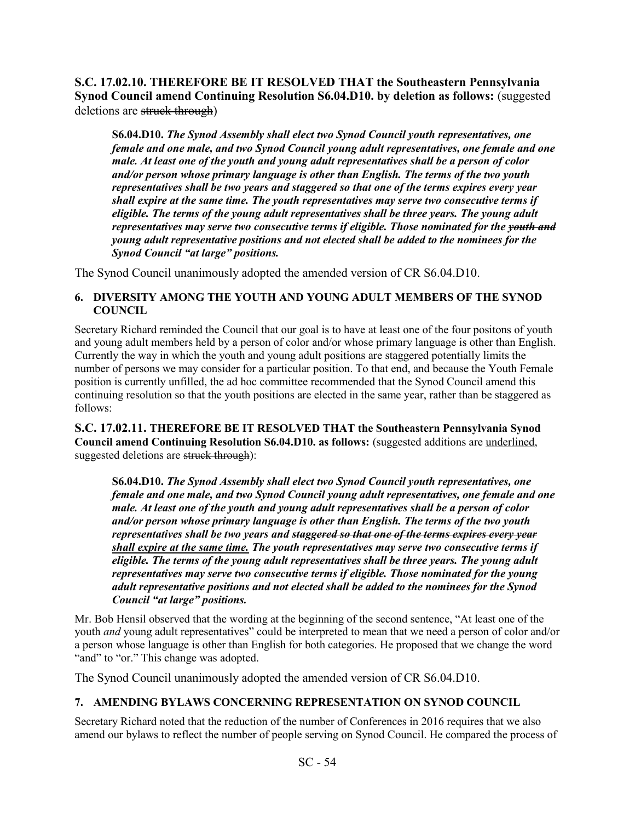**S.C. 17.02.10. THEREFORE BE IT RESOLVED THAT the Southeastern Pennsylvania Synod Council amend Continuing Resolution S6.04.D10. by deletion as follows: (suggested)** deletions are struck through)

**S6.04.D10.** *The Synod Assembly shall elect two Synod Council youth representatives, one female and one male, and two Synod Council young adult representatives, one female and one male. At least one of the youth and young adult representatives shall be a person of color and/or person whose primary language is other than English. The terms of the two youth representatives shall be two years and staggered so that one of the terms expires every year shall expire at the same time. The youth representatives may serve two consecutive terms if eligible. The terms of the young adult representatives shall be three years. The young adult representatives may serve two consecutive terms if eligible. Those nominated for the youth and young adult representative positions and not elected shall be added to the nominees for the Synod Council "at large" positions.* 

The Synod Council unanimously adopted the amended version of CR S6.04.D10.

#### **6. DIVERSITY AMONG THE YOUTH AND YOUNG ADULT MEMBERS OF THE SYNOD COUNCIL**

Secretary Richard reminded the Council that our goal is to have at least one of the four positons of youth and young adult members held by a person of color and/or whose primary language is other than English. Currently the way in which the youth and young adult positions are staggered potentially limits the number of persons we may consider for a particular position. To that end, and because the Youth Female position is currently unfilled, the ad hoc committee recommended that the Synod Council amend this continuing resolution so that the youth positions are elected in the same year, rather than be staggered as follows:

**S.C. 17.02.11. THEREFORE BE IT RESOLVED THAT the Southeastern Pennsylvania Synod Council amend Continuing Resolution S6.04.D10. as follows:** (suggested additions are underlined, suggested deletions are struck through):

**S6.04.D10.** *The Synod Assembly shall elect two Synod Council youth representatives, one female and one male, and two Synod Council young adult representatives, one female and one male. At least one of the youth and young adult representatives shall be a person of color and/or person whose primary language is other than English. The terms of the two youth representatives shall be two years and staggered so that one of the terms expires every year shall expire at the same time. The youth representatives may serve two consecutive terms if eligible. The terms of the young adult representatives shall be three years. The young adult representatives may serve two consecutive terms if eligible. Those nominated for the young adult representative positions and not elected shall be added to the nominees for the Synod Council "at large" positions.*

Mr. Bob Hensil observed that the wording at the beginning of the second sentence, "At least one of the youth *and* young adult representatives" could be interpreted to mean that we need a person of color and/or a person whose language is other than English for both categories. He proposed that we change the word "and" to "or." This change was adopted.

The Synod Council unanimously adopted the amended version of CR S6.04.D10.

## **7. AMENDING BYLAWS CONCERNING REPRESENTATION ON SYNOD COUNCIL**

Secretary Richard noted that the reduction of the number of Conferences in 2016 requires that we also amend our bylaws to reflect the number of people serving on Synod Council. He compared the process of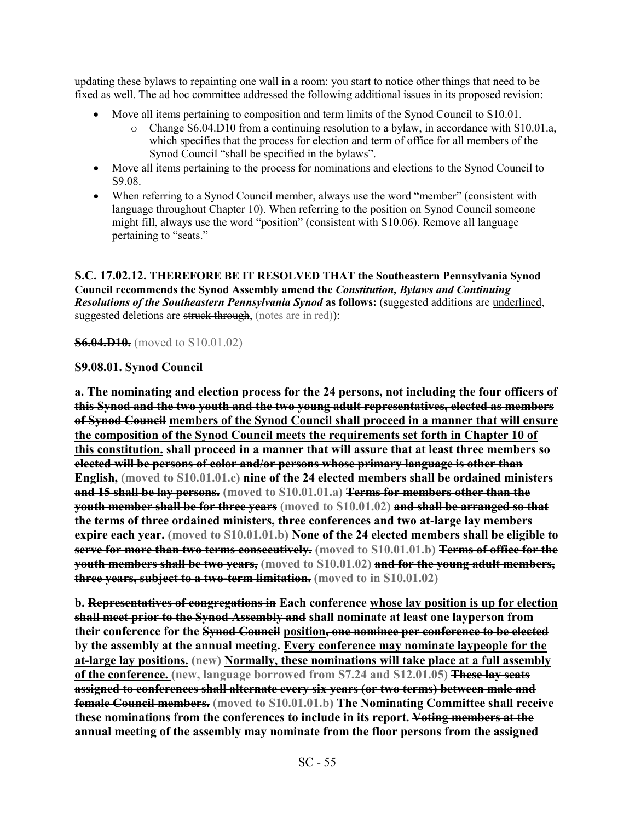updating these bylaws to repainting one wall in a room: you start to notice other things that need to be fixed as well. The ad hoc committee addressed the following additional issues in its proposed revision:

- Move all items pertaining to composition and term limits of the Synod Council to S10.01.<br>
Change S6.04.D10 from a continuing resolution to a bylaw in accordance with S1
	- Change  $S6.04.$ D10 from a continuing resolution to a bylaw, in accordance with S10.01.a, which specifies that the process for election and term of office for all members of the Synod Council "shall be specified in the bylaws".
- · Move all items pertaining to the process for nominations and elections to the Synod Council to S9.08.
- When referring to a Synod Council member, always use the word "member" (consistent with language throughout Chapter 10). When referring to the position on Synod Council someone might fill, always use the word "position" (consistent with S10.06). Remove all language pertaining to "seats."

**S.C. 17.02.12. THEREFORE BE IT RESOLVED THAT the Southeastern Pennsylvania Synod Council recommends the Synod Assembly amend the** *Constitution, Bylaws and Continuing Resolutions of the Southeastern Pennsylvania Synod* **as follows:** (suggested additions are underlined, suggested deletions are struck through, (notes are in red)):

**S6.04.D10.** (moved to S10.01.02)

## **S9.08.01. Synod Council**

**a. The nominating and election process for the 24 persons, not including the four officers of this Synod and the two youth and the two young adult representatives, elected as members of Synod Council members of the Synod Council shall proceed in a manner that will ensure the composition of the Synod Council meets the requirements set forth in Chapter 10 of this constitution. shall proceed in a manner that will assure that at least three members so elected will be persons of color and/or persons whose primary language is other than English, (moved to S10.01.01.c) nine of the 24 elected members shall be ordained ministers and 15 shall be lay persons. (moved to S10.01.01.a) Terms for members other than the youth member shall be for three years** (moved to S10.01.02) and shall be arranged so that **the terms of three ordained ministers, three conferences and two at-large lay members expire each year. (moved to S10.01.01.b) None of the 24 elected members shall be eligible to serve for more than two terms consecutively.** (moved to S10.01.01.b) Terms of office for the **youth members shall be two years, (moved to S10.01.02) and for the young adult members, three years, subject to a two-term limitation. (moved to in S10.01.02)**

**b. Representatives of congregations in Each conference whose lay position is up for election shall meet prior to the Synod Assembly and shall nominate at least one layperson from their conference for the Synod Council position, one nominee per conference to be elected by the assembly at the annual meeting. Every conference may nominate laypeople for the at-large lay positions. (new) Normally, these nominations will take place at a full assembly of the conference. (new, language borrowed from S7.24 and S12.01.05) These lay seats assigned to conferences shall alternate every six years (or two terms) between male and female Council members. (moved to S10.01.01.b) The Nominating Committee shall receive these nominations from the conferences to include in its report. Voting members at the annual meeting of the assembly may nominate from the floor persons from the assigned**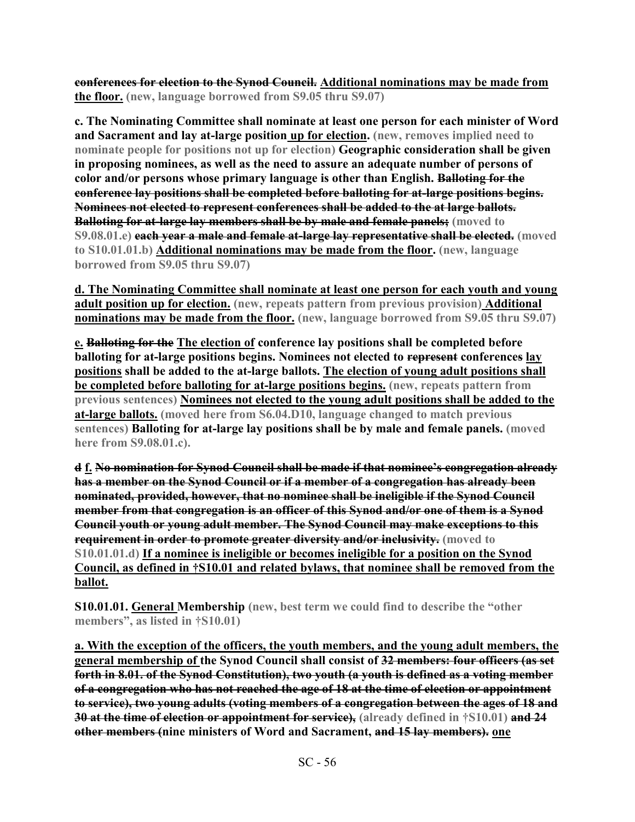**conferences for election to the Synod Council. Additional nominations may be made from the floor. (new, language borrowed from S9.05 thru S9.07)**

**c. The Nominating Committee shall nominate at least one person for each minister of Word and Sacrament and lay at-large position up for election. (new, removes implied need to nominate people for positions not up for election) Geographic consideration shall be given in proposing nominees, as well as the need to assure an adequate number of persons of color and/or persons whose primary language is other than English. Balloting for the conference lay positions shall be completed before balloting for at-large positions begins. Nominees not elected to represent conferences shall be added to the at large ballots. Balloting for at-large lay members shall be by male and female panels; (moved to S9.08.01.e) each year a male and female at-large lay representative shall be elected. (moved to S10.01.01.b) Additional nominations may be made from the floor. (new, language borrowed from S9.05 thru S9.07)**

**d. The Nominating Committee shall nominate at least one person for each youth and young adult position up for election. (new, repeats pattern from previous provision) Additional nominations may be made from the floor. (new, language borrowed from S9.05 thru S9.07)**

**e. Balloting for the The election of conference lay positions shall be completed before balloting for at-large positions begins. Nominees not elected to represent conferences lay positions shall be added to the at-large ballots. The election of young adult positions shall be completed before balloting for at-large positions begins. (new, repeats pattern from previous sentences) Nominees not elected to the young adult positions shall be added to the at-large ballots. (moved here from S6.04.D10, language changed to match previous sentences) Balloting for at-large lay positions shall be by male and female panels. (moved here from S9.08.01.c).**

**d f. No nomination for Synod Council shall be made if that nominee's congregation already has a member on the Synod Council or if a member of a congregation has already been nominated, provided, however, that no nominee shall be ineligible if the Synod Council member from that congregation is an officer of this Synod and/or one of them is a Synod Council youth or young adult member. The Synod Council may make exceptions to this requirement in order to promote greater diversity and/or inclusivity. (moved to S10.01.01.d) If a nominee is ineligible or becomes ineligible for a position on the Synod Council, as defined in †S10.01 and related bylaws, that nominee shall be removed from the ballot.** 

**S10.01.01. General Membership (new, best term we could find to describe the "other members", as listed in †S10.01)**

**a. With the exception of the officers, the youth members, and the young adult members, the general membership of the Synod Council shall consist of 32 members: four officers (as set forth in 8.01. of the Synod Constitution), two youth (a youth is defined as a voting member of a congregation who has not reached the age of 18 at the time of election or appointment to service), two young adults (voting members of a congregation between the ages of 18 and 30 at the time of election or appointment for service), (already defined in †S10.01) and 24 other members (nine ministers of Word and Sacrament, and 15 lay members). one**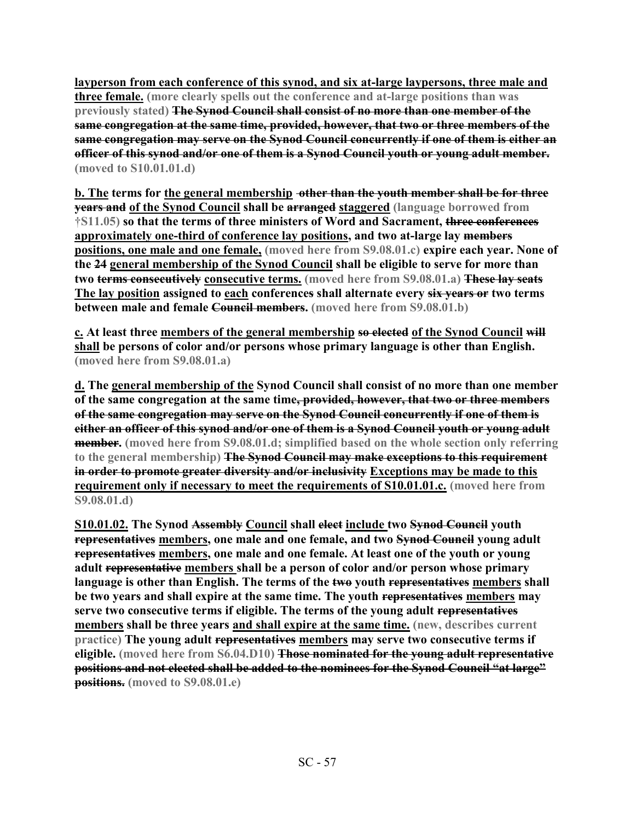**layperson from each conference of this synod, and six at-large laypersons, three male and three female. (more clearly spells out the conference and at-large positions than was previously stated) The Synod Council shall consist of no more than one member of the same congregation at the same time, provided, however, that two or three members of the same congregation may serve on the Synod Council concurrently if one of them is either an officer of this synod and/or one of them is a Synod Council youth or young adult member. (moved to S10.01.01.d)**

**b. The terms for the general membership other than the youth member shall be for three years and of the Synod Council shall be arranged staggered (language borrowed from †S11.05) so that the terms of three ministers of Word and Sacrament, three conferences approximately one-third of conference lay positions, and two at-large lay members positions, one male and one female, (moved here from S9.08.01.c) expire each year. None of the 24 general membership of the Synod Council shall be eligible to serve for more than two terms consecutively consecutive terms. (moved here from S9.08.01.a) These lay seats**  The lay position assigned to each conferences shall alternate every six years or two terms **between male and female Council members. (moved here from S9.08.01.b)**

**c. At least three members of the general membership so elected of the Synod Council will shall be persons of color and/or persons whose primary language is other than English. (moved here from S9.08.01.a)**

**d. The general membership of the Synod Council shall consist of no more than one member of the same congregation at the same time, provided, however, that two or three members of the same congregation may serve on the Synod Council concurrently if one of them is either an officer of this synod and/or one of them is a Synod Council youth or young adult member. (moved here from S9.08.01.d; simplified based on the whole section only referring to the general membership) The Synod Council may make exceptions to this requirement in order to promote greater diversity and/or inclusivity Exceptions may be made to this requirement only if necessary to meet the requirements of S10.01.01.c. (moved here from S9.08.01.d)**

**S10.01.02. The Synod Assembly Council shall elect include two Synod Council youth representatives members, one male and one female, and two Synod Council young adult representatives members, one male and one female. At least one of the youth or young adult representative members shall be a person of color and/or person whose primary language is other than English. The terms of the two youth representatives members shall be two years and shall expire at the same time. The youth representatives members may serve two consecutive terms if eligible. The terms of the young adult representatives members shall be three years and shall expire at the same time. (new, describes current practice) The young adult representatives members may serve two consecutive terms if eligible. (moved here from S6.04.D10) Those nominated for the young adult representative positions and not elected shall be added to the nominees for the Synod Council "at large" positions. (moved to S9.08.01.e)**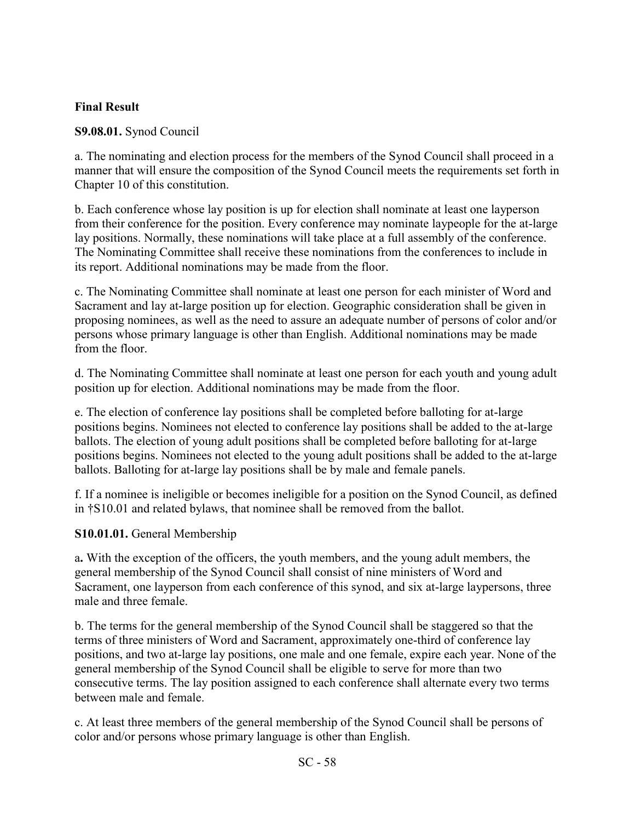## **Final Result**

# **S9.08.01.** Synod Council

a. The nominating and election process for the members of the Synod Council shall proceed in a manner that will ensure the composition of the Synod Council meets the requirements set forth in Chapter 10 of this constitution.

b. Each conference whose lay position is up for election shall nominate at least one layperson from their conference for the position. Every conference may nominate laypeople for the at-large lay positions. Normally, these nominations will take place at a full assembly of the conference. The Nominating Committee shall receive these nominations from the conferences to include in its report. Additional nominations may be made from the floor.

c. The Nominating Committee shall nominate at least one person for each minister of Word and Sacrament and lay at-large position up for election. Geographic consideration shall be given in proposing nominees, as well as the need to assure an adequate number of persons of color and/or persons whose primary language is other than English. Additional nominations may be made from the floor.

d. The Nominating Committee shall nominate at least one person for each youth and young adult position up for election. Additional nominations may be made from the floor.

e. The election of conference lay positions shall be completed before balloting for at-large positions begins. Nominees not elected to conference lay positions shall be added to the at-large ballots. The election of young adult positions shall be completed before balloting for at-large positions begins. Nominees not elected to the young adult positions shall be added to the at-large ballots. Balloting for at-large lay positions shall be by male and female panels.

f. If a nominee is ineligible or becomes ineligible for a position on the Synod Council, as defined in †S10.01 and related bylaws, that nominee shall be removed from the ballot.

# **S10.01.01.** General Membership

a**.** With the exception of the officers, the youth members, and the young adult members, the general membership of the Synod Council shall consist of nine ministers of Word and Sacrament, one layperson from each conference of this synod, and six at-large laypersons, three male and three female.

b. The terms for the general membership of the Synod Council shall be staggered so that the terms of three ministers of Word and Sacrament, approximately one-third of conference lay positions, and two at-large lay positions, one male and one female, expire each year. None of the general membership of the Synod Council shall be eligible to serve for more than two consecutive terms. The lay position assigned to each conference shall alternate every two terms between male and female.

c. At least three members of the general membership of the Synod Council shall be persons of color and/or persons whose primary language is other than English.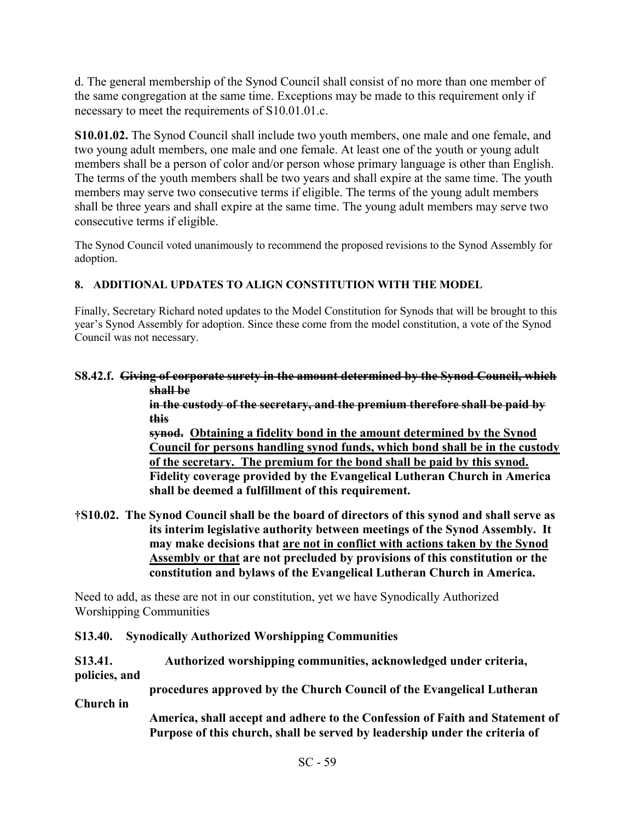d. The general membership of the Synod Council shall consist of no more than one member of the same congregation at the same time. Exceptions may be made to this requirement only if necessary to meet the requirements of S10.01.01.c.

**S10.01.02.** The Synod Council shall include two youth members, one male and one female, and two young adult members, one male and one female. At least one of the youth or young adult members shall be a person of color and/or person whose primary language is other than English. The terms of the youth members shall be two years and shall expire at the same time. The youth members may serve two consecutive terms if eligible. The terms of the young adult members shall be three years and shall expire at the same time. The young adult members may serve two consecutive terms if eligible.

The Synod Council voted unanimously to recommend the proposed revisions to the Synod Assembly for adoption.

# **8. ADDITIONAL UPDATES TO ALIGN CONSTITUTION WITH THE MODEL**

Finally, Secretary Richard noted updates to the Model Constitution for Synods that will be brought to this year's Synod Assembly for adoption. Since these come from the model constitution, a vote of the Synod Council was not necessary.

#### **S8.42.f. Giving of corporate surety in the amount determined by the Synod Council, which shall be**

**in the custody of the secretary, and the premium therefore shall be paid by this** 

**synod. Obtaining a fidelity bond in the amount determined by the Synod Council for persons handling synod funds, which bond shall be in the custody of the secretary. The premium for the bond shall be paid by this synod. Fidelity coverage provided by the Evangelical Lutheran Church in America shall be deemed a fulfillment of this requirement.** 

**†S10.02. The Synod Council shall be the board of directors of this synod and shall serve as its interim legislative authority between meetings of the Synod Assembly. It may make decisions that are not in conflict with actions taken by the Synod Assembly or that are not precluded by provisions of this constitution or the constitution and bylaws of the Evangelical Lutheran Church in America.** 

Need to add, as these are not in our constitution, yet we have Synodically Authorized Worshipping Communities

## **S13.40. Synodically Authorized Worshipping Communities**

#### **S13.41. Authorized worshipping communities, acknowledged under criteria, policies, and**

 **procedures approved by the Church Council of the Evangelical Lutheran** 

**Church in** 

 **America, shall accept and adhere to the Confession of Faith and Statement of Purpose of this church, shall be served by leadership under the criteria of**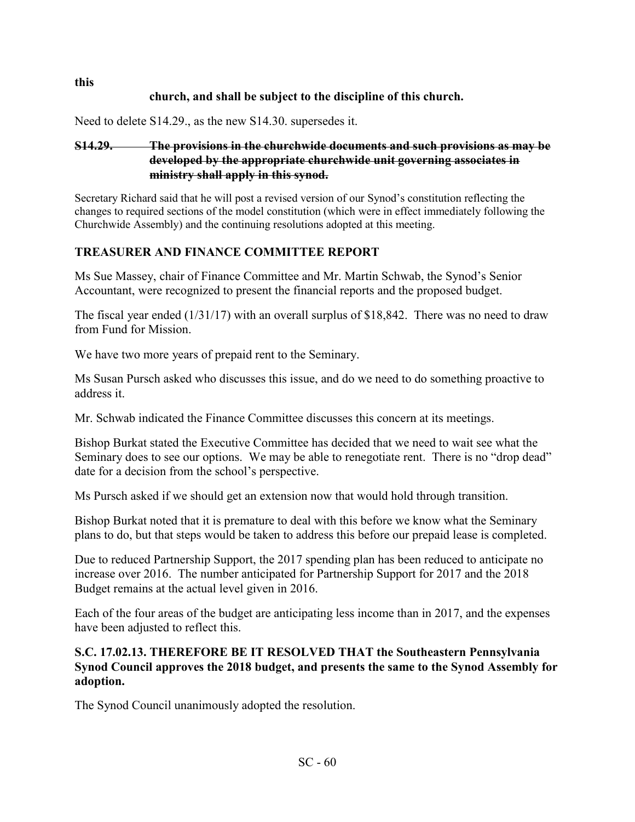# **church, and shall be subject to the discipline of this church.**

Need to delete S14.29., as the new S14.30. supersedes it.

## **S14.29. The provisions in the churchwide documents and such provisions as may be developed by the appropriate churchwide unit governing associates in ministry shall apply in this synod.**

Secretary Richard said that he will post a revised version of our Synod's constitution reflecting the changes to required sections of the model constitution (which were in effect immediately following the Churchwide Assembly) and the continuing resolutions adopted at this meeting.

## **TREASURER AND FINANCE COMMITTEE REPORT**

Ms Sue Massey, chair of Finance Committee and Mr. Martin Schwab, the Synod's Senior Accountant, were recognized to present the financial reports and the proposed budget.

The fiscal year ended (1/31/17) with an overall surplus of \$18,842. There was no need to draw from Fund for Mission.

We have two more years of prepaid rent to the Seminary.

Ms Susan Pursch asked who discusses this issue, and do we need to do something proactive to address it.

Mr. Schwab indicated the Finance Committee discusses this concern at its meetings.

Bishop Burkat stated the Executive Committee has decided that we need to wait see what the Seminary does to see our options. We may be able to renegotiate rent. There is no "drop dead" date for a decision from the school's perspective.

Ms Pursch asked if we should get an extension now that would hold through transition.

Bishop Burkat noted that it is premature to deal with this before we know what the Seminary plans to do, but that steps would be taken to address this before our prepaid lease is completed.

Due to reduced Partnership Support, the 2017 spending plan has been reduced to anticipate no increase over 2016. The number anticipated for Partnership Support for 2017 and the 2018 Budget remains at the actual level given in 2016.

Each of the four areas of the budget are anticipating less income than in 2017, and the expenses have been adjusted to reflect this.

## **S.C. 17.02.13. THEREFORE BE IT RESOLVED THAT the Southeastern Pennsylvania Synod Council approves the 2018 budget, and presents the same to the Synod Assembly for adoption.**

The Synod Council unanimously adopted the resolution.

**this**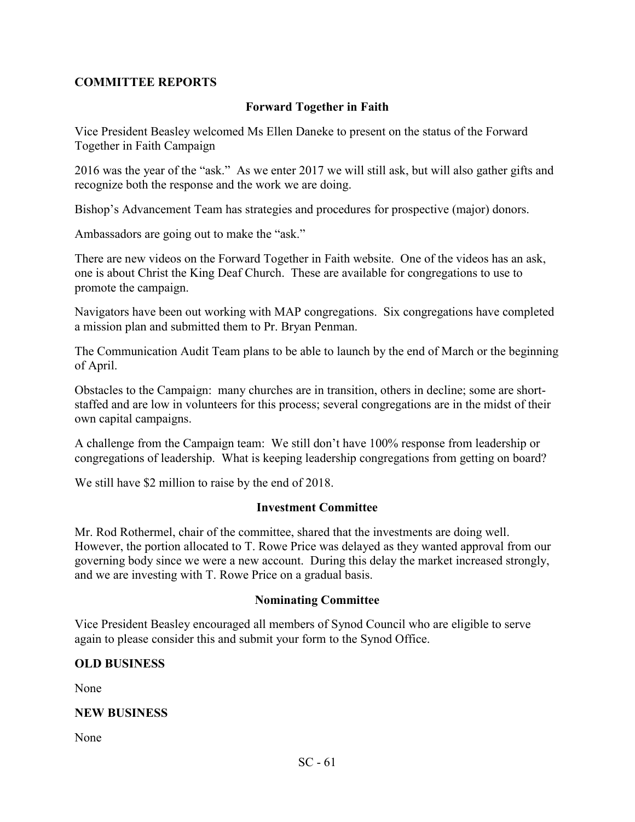## **COMMITTEE REPORTS**

### **Forward Together in Faith**

Vice President Beasley welcomed Ms Ellen Daneke to present on the status of the Forward Together in Faith Campaign

2016 was the year of the "ask." As we enter 2017 we will still ask, but will also gather gifts and recognize both the response and the work we are doing.

Bishop's Advancement Team has strategies and procedures for prospective (major) donors.

Ambassadors are going out to make the "ask."

There are new videos on the Forward Together in Faith website. One of the videos has an ask, one is about Christ the King Deaf Church. These are available for congregations to use to promote the campaign.

Navigators have been out working with MAP congregations. Six congregations have completed a mission plan and submitted them to Pr. Bryan Penman.

The Communication Audit Team plans to be able to launch by the end of March or the beginning of April.

Obstacles to the Campaign: many churches are in transition, others in decline; some are shortstaffed and are low in volunteers for this process; several congregations are in the midst of their own capital campaigns.

A challenge from the Campaign team: We still don't have 100% response from leadership or congregations of leadership. What is keeping leadership congregations from getting on board?

We still have \$2 million to raise by the end of 2018.

#### **Investment Committee**

Mr. Rod Rothermel, chair of the committee, shared that the investments are doing well. However, the portion allocated to T. Rowe Price was delayed as they wanted approval from our governing body since we were a new account. During this delay the market increased strongly, and we are investing with T. Rowe Price on a gradual basis.

#### **Nominating Committee**

Vice President Beasley encouraged all members of Synod Council who are eligible to serve again to please consider this and submit your form to the Synod Office.

## **OLD BUSINESS**

None

#### **NEW BUSINESS**

None